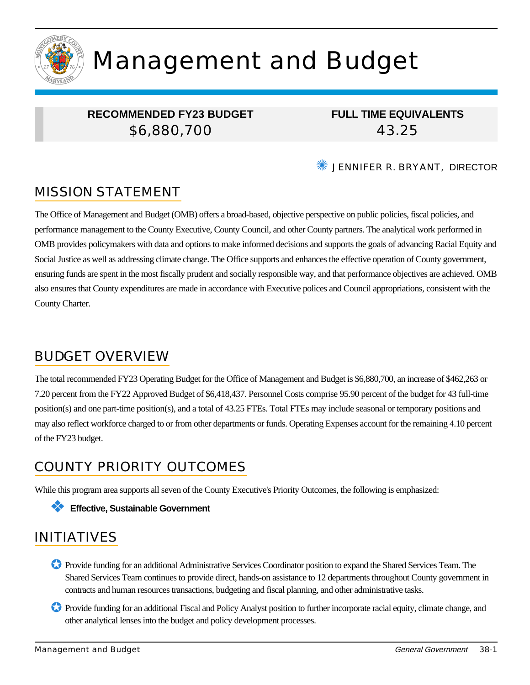

# Management and Budget

### **RECOMMENDED FY23 BUDGET** \$6,880,700

**FULL TIME EQUIVALENTS** 43.25

**WE JENNIFER R. BRYANT, DIRECTOR** 

# MISSION STATEMENT

The Office of Management and Budget (OMB) offers a broad-based, objective perspective on public policies, fiscal policies, and performance management to the County Executive, County Council, and other County partners. The analytical work performed in OMB provides policymakers with data and options to make informed decisions and supports the goals of advancing Racial Equity and Social Justice as well as addressing climate change. The Office supports and enhances the effective operation of County government, ensuring funds are spent in the most fiscally prudent and socially responsible way, and that performance objectives are achieved. OMB also ensures that County expenditures are made in accordance with Executive polices and Council appropriations, consistent with the County Charter.

### BUDGET OVERVIEW

The total recommended FY23 Operating Budget for the Office of Management and Budget is \$6,880,700, an increase of \$462,263 or 7.20 percent from the FY22 Approved Budget of \$6,418,437. Personnel Costs comprise 95.90 percent of the budget for 43 full-time position(s) and one part-time position(s), and a total of 43.25 FTEs. Total FTEs may include seasonal or temporary positions and may also reflect workforce charged to or from other departments or funds. Operating Expenses account for the remaining 4.10 percent of the FY23 budget.

# COUNTY PRIORITY OUTCOMES

While this program area supports all seven of the County Executive's Priority Outcomes, the following is emphasized:

#### ❖ **Effective, Sustainable Government**

### INITIATIVES

- ✪ Provide funding for an additional Administrative Services Coordinator position to expand the Shared Services Team. The Shared Services Team continues to provide direct, hands-on assistance to 12 departments throughout County government in contracts and human resources transactions, budgeting and fiscal planning, and other administrative tasks.
- ✪ Provide funding for an additional Fiscal and Policy Analyst position to further incorporate racial equity, climate change, and other analytical lenses into the budget and policy development processes.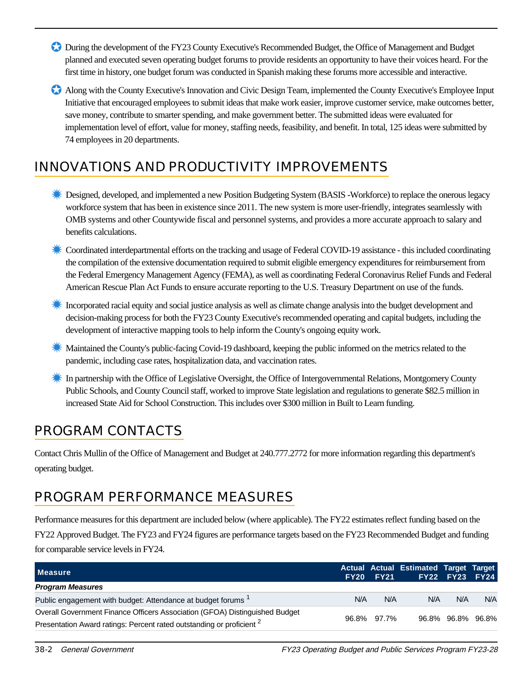- ✪ During the development of the FY23 County Executive's Recommended Budget, the Office of Management and Budget planned and executed seven operating budget forums to provide residents an opportunity to have their voices heard. For the first time in history, one budget forum was conducted in Spanish making these forums more accessible and interactive.
- ✪ Along with the County Executive's Innovation and Civic Design Team, implemented the County Executive's Employee Input Initiative that encouraged employees to submit ideas that make work easier, improve customer service, make outcomes better, save money, contribute to smarter spending, and make government better. The submitted ideas were evaluated for implementation level of effort, value for money, staffing needs, feasibility, and benefit. In total, 125 ideas were submitted by 74 employees in 20 departments.

# INNOVATIONS AND PRODUCTIVITY IMPROVEMENTS

- **Examplemented a new Position Budgeting System (BASIS -Workforce) to replace the onerous legacy** workforce system that has been in existence since 2011. The new system is more user-friendly, integrates seamlessly with OMB systems and other Countywide fiscal and personnel systems, and provides a more accurate approach to salary and benefits calculations.
- ✹ Coordinated interdepartmental efforts on the tracking and usage of Federal COVID-19 assistance this included coordinating the compilation of the extensive documentation required to submit eligible emergency expenditures for reimbursement from the Federal Emergency Management Agency (FEMA), as well as coordinating Federal Coronavirus Relief Funds and Federal American Rescue Plan Act Funds to ensure accurate reporting to the U.S. Treasury Department on use of the funds.
- **K** Incorporated racial equity and social justice analysis as well as climate change analysis into the budget development and decision-making process for both the FY23 County Executive's recommended operating and capital budgets, including the development of interactive mapping tools to help inform the County's ongoing equity work.
- **K** Maintained the County's public-facing Covid-19 dashboard, keeping the public informed on the metrics related to the pandemic, including case rates, hospitalization data, and vaccination rates.
- **K** In partnership with the Office of Legislative Oversight, the Office of Intergovernmental Relations, Montgomery County Public Schools, and County Council staff, worked to improve State legislation and regulations to generate \$82.5 million in increased State Aid for School Construction. This includes over \$300 million in Built to Learn funding.

# PROGRAM CONTACTS

Contact Chris Mullin of the Office of Management and Budget at 240.777.2772 for more information regarding this department's operating budget.

### PROGRAM PERFORMANCE MEASURES

Performance measures for this department are included below (where applicable). The FY22 estimates reflect funding based on the FY22 Approved Budget. The FY23 and FY24 figures are performance targets based on the FY23 Recommended Budget and funding for comparable service levels in FY24.

| <b>Measure</b>                                                                   | <b>FY20</b> | <b>FY21</b> | Actual Actual Estimated Target Target | FY22 FY23 FY24    |     |
|----------------------------------------------------------------------------------|-------------|-------------|---------------------------------------|-------------------|-----|
| <b>Program Measures</b>                                                          |             |             |                                       |                   |     |
| Public engagement with budget: Attendance at budget forums <sup>1</sup>          | N/A         | N/A         | N/A                                   | N/A               | N/A |
| Overall Government Finance Officers Association (GFOA) Distinguished Budget      |             | 96.8% 97.7% |                                       |                   |     |
| Presentation Award ratings: Percent rated outstanding or proficient <sup>2</sup> |             |             |                                       | 96.8% 96.8% 96.8% |     |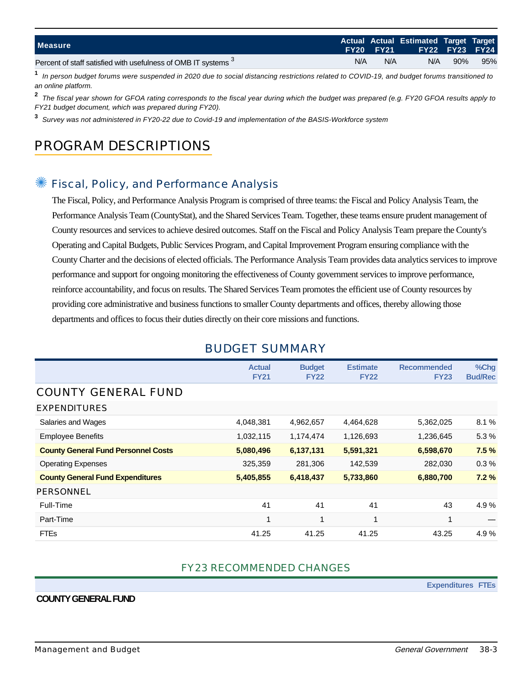| <b>Measure</b>                                                 |     | <b>FY20 FY21</b> | Actual Actual Estimated Target Target | <b>FY22 FY23 FY24</b> |     |
|----------------------------------------------------------------|-----|------------------|---------------------------------------|-----------------------|-----|
| Percent of staff satisfied with usefulness of OMB IT systems 3 | N/A | N/A              | N/A                                   | 90%                   | 95% |

**1** In person budget forums were suspended in 2020 due to social distancing restrictions related to COVID-19, and budget forums transitioned to an online platform.

**2** The fiscal year shown for GFOA rating corresponds to the fiscal year during which the budget was prepared (e.g. FY20 GFOA results apply to FY21 budget document, which was prepared during FY20).

**3** Survey was not administered in FY20-22 due to Covid-19 and implementation of the BASIS-Workforce system

# PROGRAM DESCRIPTIONS

### Fiscal, Policy, and Performance Analysis

The Fiscal, Policy, and Performance Analysis Program is comprised of three teams: the Fiscal and Policy Analysis Team, the Performance Analysis Team (CountyStat), and the Shared Services Team. Together, these teams ensure prudent management of County resources and services to achieve desired outcomes. Staff on the Fiscal and Policy Analysis Team prepare the County's Operating and Capital Budgets, Public Services Program, and Capital Improvement Program ensuring compliance with the County Charter and the decisions of elected officials. The Performance Analysis Team provides data analytics services to improve performance and support for ongoing monitoring the effectiveness of County government services to improve performance, reinforce accountability, and focus on results. The Shared Services Team promotes the efficient use of County resources by providing core administrative and business functions to smaller County departments and offices, thereby allowing those departments and offices to focus their duties directly on their core missions and functions.

|                                            | <b>Actual</b><br><b>FY21</b> | <b>Budget</b><br><b>FY22</b> | <b>Estimate</b><br><b>FY22</b> | <b>Recommended</b><br><b>FY23</b> | %Chg<br><b>Bud/Rec</b> |
|--------------------------------------------|------------------------------|------------------------------|--------------------------------|-----------------------------------|------------------------|
| <b>COUNTY GENERAL FUND</b>                 |                              |                              |                                |                                   |                        |
| <b>EXPENDITURES</b>                        |                              |                              |                                |                                   |                        |
| Salaries and Wages                         | 4,048,381                    | 4,962,657                    | 4,464,628                      | 5,362,025                         | 8.1%                   |
| <b>Employee Benefits</b>                   | 1,032,115                    | 1,174,474                    | 1,126,693                      | 1,236,645                         | 5.3%                   |
| <b>County General Fund Personnel Costs</b> | 5,080,496                    | 6,137,131                    | 5,591,321                      | 6,598,670                         | 7.5%                   |
| <b>Operating Expenses</b>                  | 325,359                      | 281,306                      | 142,539                        | 282,030                           | 0.3%                   |
| <b>County General Fund Expenditures</b>    | 5,405,855                    | 6,418,437                    | 5,733,860                      | 6,880,700                         | 7.2%                   |
| <b>PERSONNEL</b>                           |                              |                              |                                |                                   |                        |
| Full-Time                                  | 41                           | 41                           | 41                             | 43                                | 4.9%                   |
| Part-Time                                  | 1                            | 1                            | $\overline{\mathbf{A}}$        | $\overline{\mathbf{A}}$           |                        |
| <b>FTEs</b>                                | 41.25                        | 41.25                        | 41.25                          | 43.25                             | 4.9%                   |

### BUDGET SUMMARY

#### FY23 RECOMMENDED CHANGES

**Expenditures FTEs**

#### **COUNTY GENERAL FUND**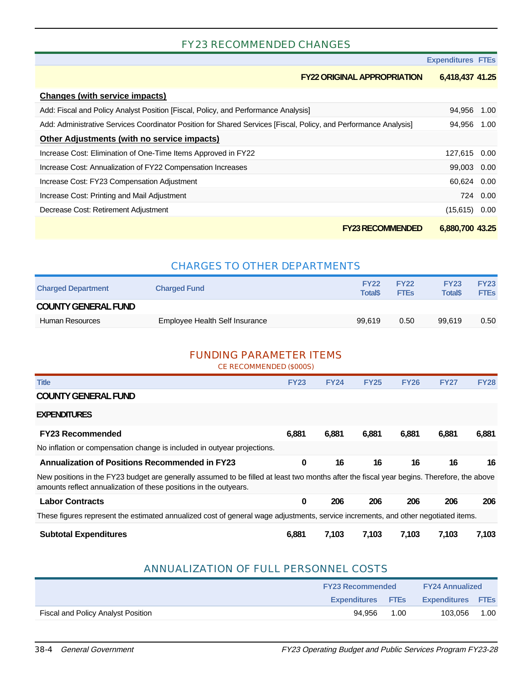#### FY23 RECOMMENDED CHANGES

**Expenditures FTEs**

#### **FY22 ORIGINAL APPROPRIATION 6,418,437 41.25**

| <b>Changes (with service impacts)</b>                                                                            |                 |          |
|------------------------------------------------------------------------------------------------------------------|-----------------|----------|
| Add: Fiscal and Policy Analyst Position [Fiscal, Policy, and Performance Analysis]                               | 94,956 1.00     |          |
| Add: Administrative Services Coordinator Position for Shared Services [Fiscal, Policy, and Performance Analysis] | 94,956          | 1.00     |
| Other Adjustments (with no service impacts)                                                                      |                 |          |
| Increase Cost: Elimination of One-Time Items Approved in FY22                                                    | 127,615 0.00    |          |
| Increase Cost: Annualization of FY22 Compensation Increases                                                      | 99,003 0.00     |          |
| Increase Cost: FY23 Compensation Adjustment                                                                      | 60.624 0.00     |          |
| Increase Cost: Printing and Mail Adjustment                                                                      |                 | 724 0.00 |
| Decrease Cost: Retirement Adjustment                                                                             | (15,615)        | 0.00     |
| <b>FY23 RECOMMENDED</b>                                                                                          | 6,880,700 43.25 |          |

#### CHARGES TO OTHER DEPARTMENTS

| <b>Charged Department</b>  | <b>Charged Fund</b>            | <b>FY22</b><br><b>Total</b> <sup>\$</sup> | <b>FY22</b><br><b>FTEs</b> | <b>FY23</b><br><b>Total</b> <sup>\$</sup> | <b>FY23</b><br><b>FTEs</b> |
|----------------------------|--------------------------------|-------------------------------------------|----------------------------|-------------------------------------------|----------------------------|
| <b>COUNTY GENERAL FUND</b> |                                |                                           |                            |                                           |                            |
| Human Resources            | Employee Health Self Insurance | 99.619                                    | 0.50                       | 99.619                                    | 0.50                       |
|                            |                                |                                           |                            |                                           |                            |

#### FUNDING PARAMETER ITEMS

CE RECOMMENDED (\$000S)

| <b>Title</b>                                                                                                                                                                                                    | <b>FY23</b> | <b>FY24</b> | <b>FY25</b> | <b>FY26</b> | <b>FY27</b> | <b>FY28</b> |
|-----------------------------------------------------------------------------------------------------------------------------------------------------------------------------------------------------------------|-------------|-------------|-------------|-------------|-------------|-------------|
| <b>COUNTY GENERAL FUND</b>                                                                                                                                                                                      |             |             |             |             |             |             |
| <b>EXPENDITURES</b>                                                                                                                                                                                             |             |             |             |             |             |             |
| <b>FY23 Recommended</b>                                                                                                                                                                                         | 6.881       | 6,881       | 6,881       | 6,881       | 6,881       | 6,881       |
| No inflation or compensation change is included in outyear projections.                                                                                                                                         |             |             |             |             |             |             |
| <b>Annualization of Positions Recommended in FY23</b>                                                                                                                                                           | 0           | 16          | 16          | 16          | 16          | 16          |
| New positions in the FY23 budget are generally assumed to be filled at least two months after the fiscal year begins. Therefore, the above<br>amounts reflect annualization of these positions in the outyears. |             |             |             |             |             |             |
| <b>Labor Contracts</b>                                                                                                                                                                                          | 0           | 206         | 206         | 206         | 206         | 206         |
| These figures represent the estimated annualized cost of general wage adjustments, service increments, and other negotiated items.                                                                              |             |             |             |             |             |             |
| <b>Subtotal Expenditures</b>                                                                                                                                                                                    | 6,881       | 7,103       | 7,103       | 7,103       | 7,103       | 7,103       |

#### ANNUALIZATION OF FULL PERSONNEL COSTS

|                                    | <b>FY23 Recommended</b>  | <b>FY24 Annualized</b> |                          |      |
|------------------------------------|--------------------------|------------------------|--------------------------|------|
|                                    | <b>Expenditures FTEs</b> |                        | <b>Expenditures FTEs</b> |      |
| Fiscal and Policy Analyst Position | 94.956                   | 1.00                   | 103.056                  | 1.00 |